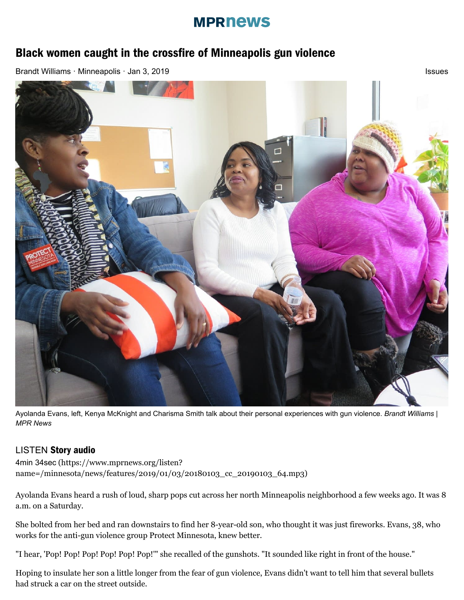## 7/3/2019 Black women c[aught in the crossfire of Minne](https://www.mprnews.org/)apolis gun violence | MPR News

[Issues](http://minnesota.publicradio.org/collections/issues/)

## Black women caught in the crossfire of Minneapolis gun violence

[Brandt Williams](http://minnesota.publicradio.org/about/people/mpr_people_display.php?aut_id=73) · Minneapolis · Jan 3, 2019



Ayolanda Evans, left, Kenya McKnight and Charisma Smith talk about their personal experiences with gun violence. *Brandt Williams | MPR News*

#### LISTEN Story audio

4min 34sec (https://www.mprnews.org/listen? [name=/minnesota/news/features/2019/01/03/20180103\\_cc\\_20190103\\_64.mp3\)](https://www.mprnews.org/listen?name=/minnesota/news/features/2019/01/03/20180103_cc_20190103_64.mp3)

Ayolanda Evans heard a rush of loud, sharp pops cut across her north Minneapolis neighborhood a few weeks ago. It was 8 a.m. on a Saturday.

She bolted from her bed and ran downstairs to find her 8-year-old son, who thought it was just fireworks. Evans, 38, who works for the anti-gun violence group Protect Minnesota, knew better.

"I hear, 'Pop! Pop! Pop! Pop! Pop! Pop!'" she recalled of the gunshots. "It sounded like right in front of the house."

had struck a car on the street outside. The street outside is a struck-women of  $\alpha$  and  $\alpha$  and  $\alpha$  and  $\alpha$  and  $\alpha$  and  $\alpha$  and  $\alpha$  and  $\alpha$  and  $\alpha$  and  $\alpha$  and  $\alpha$  and  $\alpha$  and  $\alpha$  and  $\alpha$  and  $\alpha$  and  $\alpha$  an Hoping to insulate her son a little longer from the fear of gun violence, Evans didn't want to tell him that several bullets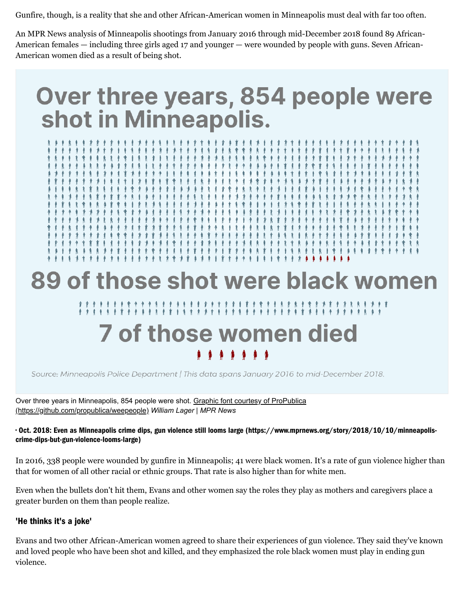Gunfire, though, is a reality that she and other African-American women in Minneapolis must deal with far too often.

An MPR News analysis of Minneapolis shootings from January 2016 through mid-December 2018 found 89 African-American females — including three girls aged 17 and younger — were wounded by people with guns. Seven African-American women died as a result of being shot.

## Over three years, 854 people were shot in Minneapolis.



# 89 of those shot were black women **7 of those women died**

Source: Minneapolis Police Department | This data spans January 2016 to mid-December 2018.

[Over three years in Minneapolis, 854 people were shot. Graphic font courtesy of ProPublica](https://github.com/propublica/weepeople) (https://github.com/propublica/weepeople) *William Lager | MPR News*

#### [• Oct. 2018: Even as Minneapolis crime dips, gun violence still looms large \(https://www.mprnews.org/story/2018/10/10/minneapolis](https://www.mprnews.org/story/2018/10/10/minneapolis-crime-dips-but-gun-violence-looms-large)crime-dips-but-gun-violence-looms-large)

In 2016, 338 people were wounded by gunfire in Minneapolis; 41 were black women. It's a rate of gun violence higher than that for women of all other racial or ethnic groups. That rate is also higher than for white men.

Even when the bullets don't hit them, Evans and other women say the roles they play as mothers and caregivers place a greater burden on them than people realize.

#### 'He thinks it's a joke'

Evans and two other African-American women agreed to share their experiences of gun violence. They said they've known and loved people who have been shot and killed, and they emphasized the role black women must play in ending gun violence.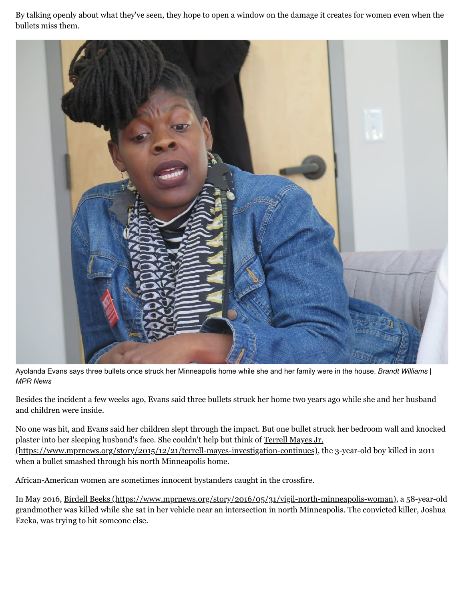By talking openly about what they've seen, they hope to open a window on the damage it creates for women even when the bullets miss them.



Ayolanda Evans says three bullets once struck her Minneapolis home while she and her family were in the house. *Brandt Williams | MPR News*

Besides the incident a few weeks ago, Evans said three bullets struck her home two years ago while she and her husband and children were inside.

No one was hit, and Evans said her children slept through the impact. But one bullet struck her bedroom wall and knocked [plaster into her sleeping husband's face. She couldn't help but think of Terrell Mayes Jr.](https://www.mprnews.org/story/2015/12/21/terrell-mayes-investigation-continues) (https://www.mprnews.org/story/2015/12/21/terrell-mayes-investigation-continues), the 3-year-old boy killed in 2011 when a bullet smashed through his north Minneapolis home.

African-American women are sometimes innocent bystanders caught in the crossfire.

In May 2016, [Birdell Beeks \(https://www.mprnews.org/story/2016/05/31/vigil-north-minneapolis-woman\),](https://www.mprnews.org/story/2016/05/31/vigil-north-minneapolis-woman) a 58-year-old grandmother was killed while she sat in her vehicle near an intersection in north Minneapolis. The convicted killer, Joshua Ezeka, was trying to hit someone else.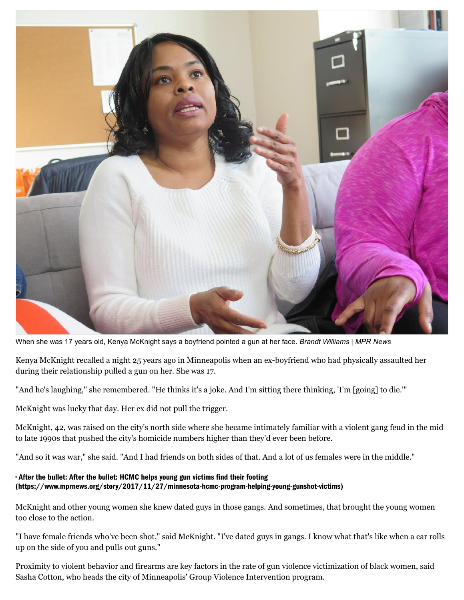

When she was 17 years old, Kenya McKnight says a boyfriend pointed a gun at her face. *Brandt Williams | MPR News*

Kenya McKnight recalled a night 25 years ago in Minneapolis when an ex-boyfriend who had physically assaulted her during their relationship pulled a gun on her. She was 17.

"And he's laughing," she remembered. "He thinks it's a joke. And I'm sitting there thinking, 'I'm [going] to die.'"

McKnight was lucky that day. Her ex did not pull the trigger.

McKnight, 42, was raised on the city's north side where she became intimately familiar with a violent gang feud in the mid to late 1990s that pushed the city's homicide numbers higher than they'd ever been before.

"And so it was war," she said. "And I had friends on both sides of that. And a lot of us females were in the middle."

#### • After the bullet: After the bullet: HCMC helps young gun victims find their footing [\(https://www.mprnews.org/story/2017/11/27/minnesota-hcmc-program-helping-young-gunshot-victims\)](https://www.mprnews.org/story/2017/11/27/minnesota-hcmc-program-helping-young-gunshot-victims)

McKnight and other young women she knew dated guys in those gangs. And sometimes, that brought the young women too close to the action.

"I have female friends who've been shot," said McKnight. "I've dated guys in gangs. I know what that's like when a car rolls up on the side of you and pulls out guns."

Proximity to violent behavior and firearms are key factors in the rate of gun violence victimization of black women, said Sasha Cotton, who heads the city of Minneapolis' Group Violence Intervention program.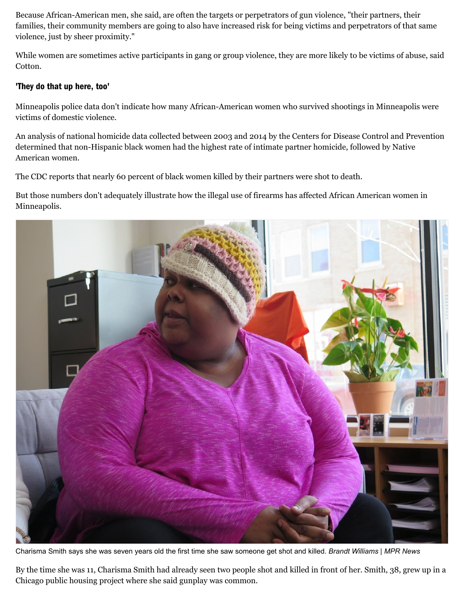Because African-American men, she said, are often the targets or perpetrators of gun violence, "their partners, their families, their community members are going to also have increased risk for being victims and perpetrators of that same violence, just by sheer proximity."

While women are sometimes active participants in gang or group violence, they are more likely to be victims of abuse, said Cotton.

#### 'They do that up here, too'

Minneapolis police data don't indicate how many African-American women who survived shootings in Minneapolis were victims of domestic violence.

An analysis of national homicide data collected between 2003 and 2014 by the Centers for Disease Control and Prevention determined that non-Hispanic black women had the highest rate of intimate partner homicide, followed by Native American women.

The CDC reports that nearly 60 percent of black women killed by their partners were shot to death.

But those numbers don't adequately illustrate how the illegal use of firearms has affected African American women in Minneapolis.



Charisma Smith says she was seven years old the first time she saw someone get shot and killed. *Brandt Williams | MPR News*

Chicago public housing project where she said gunplay was common. By the time she was 11, Charisma Smith had already seen two people shot and killed in front of her. Smith, 38, grew up in a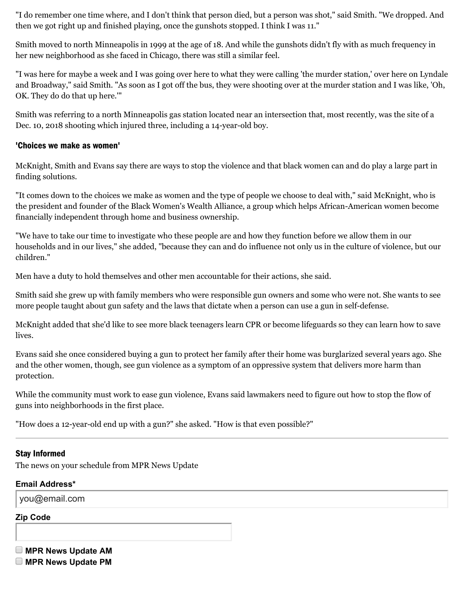"I do remember one time where, and I don't think that person died, but a person was shot," said Smith. "We dropped. And then we got right up and finished playing, once the gunshots stopped. I think I was 11."

Smith moved to north Minneapolis in 1999 at the age of 18. And while the gunshots didn't fly with as much frequency in her new neighborhood as she faced in Chicago, there was still a similar feel.

"I was here for maybe a week and I was going over here to what they were calling 'the murder station,' over here on Lyndale and Broadway," said Smith. "As soon as I got off the bus, they were shooting over at the murder station and I was like, 'Oh, OK. They do do that up here.'"

Smith was referring to a north Minneapolis gas station located near an intersection that, most recently, was the site of a Dec. 10, 2018 shooting which injured three, including a 14-year-old boy.

#### 'Choices we make as women'

McKnight, Smith and Evans say there are ways to stop the violence and that black women can and do play a large part in finding solutions.

"It comes down to the choices we make as women and the type of people we choose to deal with," said McKnight, who is the president and founder of the Black Women's Wealth Alliance, a group which helps African-American women become financially independent through home and business ownership.

"We have to take our time to investigate who these people are and how they function before we allow them in our households and in our lives," she added, "because they can and do influence not only us in the culture of violence, but our children."

Men have a duty to hold themselves and other men accountable for their actions, she said.

Smith said she grew up with family members who were responsible gun owners and some who were not. She wants to see more people taught about gun safety and the laws that dictate when a person can use a gun in self-defense.

McKnight added that she'd like to see more black teenagers learn CPR or become lifeguards so they can learn how to save lives.

Evans said she once considered buying a gun to protect her family after their home was burglarized several years ago. She and the other women, though, see gun violence as a symptom of an oppressive system that delivers more harm than protection.

While the community must work to ease gun violence, Evans said lawmakers need to figure out how to stop the flow of guns into neighborhoods in the first place.

"How does a 12-year-old end up with a gun?" she asked. "How is that even possible?"

#### [Stay Informed](https://www.mprnews.org/newsletter)

The news on your schedule from MPR News Update

#### **Email Address\***

you@email.com

#### **Zip Code**

 **MPR News Update AM**

 **MPR News Update PM**